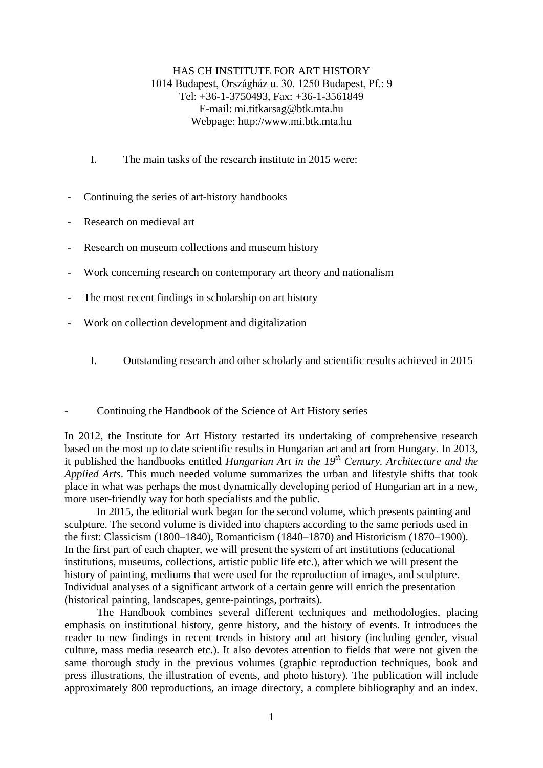## HAS CH INSTITUTE FOR ART HISTORY 1014 Budapest, Országház u. 30. 1250 Budapest, Pf.: 9 Tel: +36-1-3750493, Fax: +36-1-3561849 E-mail: mi.titkarsag@btk.mta.hu Webpage: http://www.mi.btk.mta.hu

- I. The main tasks of the research institute in 2015 were:
- Continuing the series of art-history handbooks
- Research on medieval art
- Research on museum collections and museum history
- Work concerning research on contemporary art theory and nationalism
- The most recent findings in scholarship on art history
- Work on collection development and digitalization
	- I. Outstanding research and other scholarly and scientific results achieved in 2015
- Continuing the Handbook of the Science of Art History series

In 2012, the Institute for Art History restarted its undertaking of comprehensive research based on the most up to date scientific results in Hungarian art and art from Hungary. In 2013, it published the handbooks entitled *Hungarian Art in the 19th Century. Architecture and the Applied Arts*. This much needed volume summarizes the urban and lifestyle shifts that took place in what was perhaps the most dynamically developing period of Hungarian art in a new, more user-friendly way for both specialists and the public.

In 2015, the editorial work began for the second volume, which presents painting and sculpture. The second volume is divided into chapters according to the same periods used in the first: Classicism (1800–1840), Romanticism (1840–1870) and Historicism (1870–1900). In the first part of each chapter, we will present the system of art institutions (educational institutions, museums, collections, artistic public life etc.), after which we will present the history of painting, mediums that were used for the reproduction of images, and sculpture. Individual analyses of a significant artwork of a certain genre will enrich the presentation (historical painting, landscapes, genre-paintings, portraits).

The Handbook combines several different techniques and methodologies, placing emphasis on institutional history, genre history, and the history of events. It introduces the reader to new findings in recent trends in history and art history (including gender, visual culture, mass media research etc.). It also devotes attention to fields that were not given the same thorough study in the previous volumes (graphic reproduction techniques, book and press illustrations, the illustration of events, and photo history). The publication will include approximately 800 reproductions, an image directory, a complete bibliography and an index.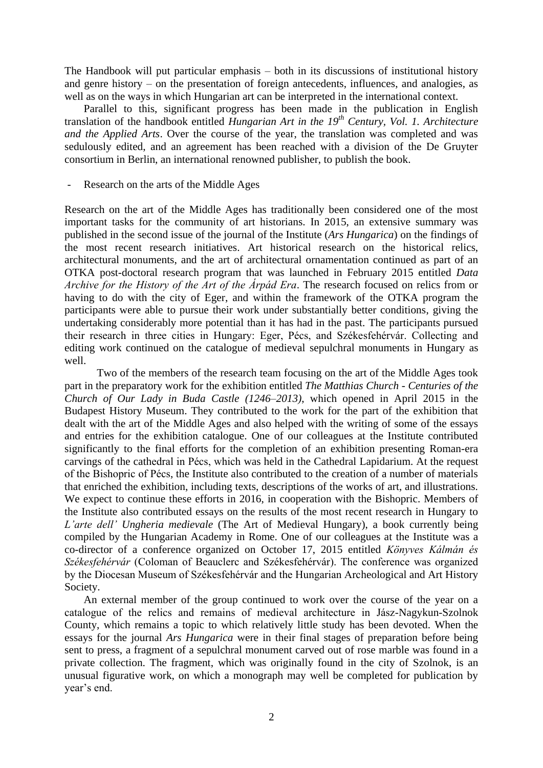The Handbook will put particular emphasis – both in its discussions of institutional history and genre history – on the presentation of foreign antecedents, influences, and analogies, as well as on the ways in which Hungarian art can be interpreted in the international context.

Parallel to this, significant progress has been made in the publication in English translation of the handbook entitled *Hungarian Art in the 19th Century, Vol. 1. Architecture and the Applied Arts*. Over the course of the year, the translation was completed and was sedulously edited, and an agreement has been reached with a division of the De Gruyter consortium in Berlin, an international renowned publisher, to publish the book.

Research on the arts of the Middle Ages

Research on the art of the Middle Ages has traditionally been considered one of the most important tasks for the community of art historians. In 2015, an extensive summary was published in the second issue of the journal of the Institute (*Ars Hungarica*) on the findings of the most recent research initiatives. Art historical research on the historical relics, architectural monuments, and the art of architectural ornamentation continued as part of an OTKA post-doctoral research program that was launched in February 2015 entitled *Data Archive for the History of the Art of the Árpád Era*. The research focused on relics from or having to do with the city of Eger, and within the framework of the OTKA program the participants were able to pursue their work under substantially better conditions, giving the undertaking considerably more potential than it has had in the past. The participants pursued their research in three cities in Hungary: Eger, Pécs, and Székesfehérvár. Collecting and editing work continued on the catalogue of medieval sepulchral monuments in Hungary as well.

Two of the members of the research team focusing on the art of the Middle Ages took part in the preparatory work for the exhibition entitled *The Matthias Church - Centuries of the Church of Our Lady in Buda Castle (1246–2013)*, which opened in April 2015 in the Budapest History Museum. They contributed to the work for the part of the exhibition that dealt with the art of the Middle Ages and also helped with the writing of some of the essays and entries for the exhibition catalogue. One of our colleagues at the Institute contributed significantly to the final efforts for the completion of an exhibition presenting Roman-era carvings of the cathedral in Pécs, which was held in the Cathedral Lapidarium. At the request of the Bishopric of Pécs, the Institute also contributed to the creation of a number of materials that enriched the exhibition, including texts, descriptions of the works of art, and illustrations. We expect to continue these efforts in 2016, in cooperation with the Bishopric. Members of the Institute also contributed essays on the results of the most recent research in Hungary to *L'arte dell' Ungheria medievale* (The Art of Medieval Hungary), a book currently being compiled by the Hungarian Academy in Rome. One of our colleagues at the Institute was a co-director of a conference organized on October 17, 2015 entitled *Könyves Kálmán és Székesfehérvár* (Coloman of Beauclerc and Székesfehérvár). The conference was organized by the Diocesan Museum of Székesfehérvár and the Hungarian Archeological and Art History Society.

An external member of the group continued to work over the course of the year on a catalogue of the relics and remains of medieval architecture in Jász-Nagykun-Szolnok County, which remains a topic to which relatively little study has been devoted. When the essays for the journal *Ars Hungarica* were in their final stages of preparation before being sent to press, a fragment of a sepulchral monument carved out of rose marble was found in a private collection. The fragment, which was originally found in the city of Szolnok, is an unusual figurative work, on which a monograph may well be completed for publication by year's end.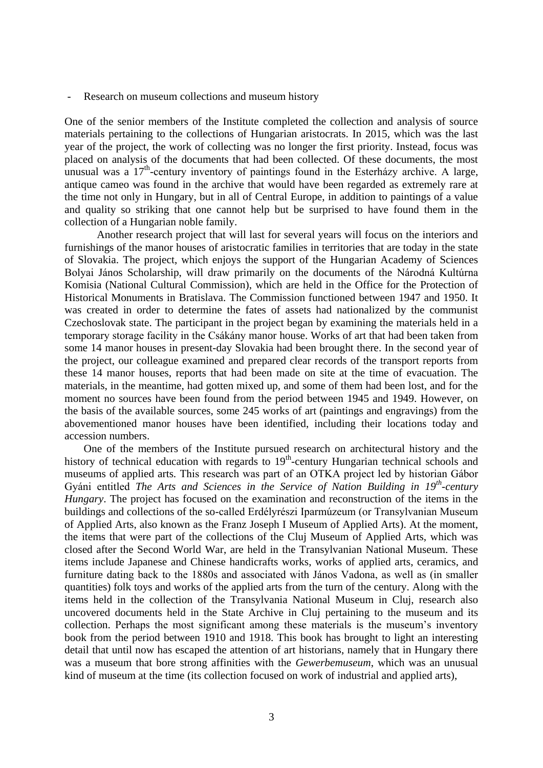- Research on museum collections and museum history

One of the senior members of the Institute completed the collection and analysis of source materials pertaining to the collections of Hungarian aristocrats. In 2015, which was the last year of the project, the work of collecting was no longer the first priority. Instead, focus was placed on analysis of the documents that had been collected. Of these documents, the most unusual was a  $17<sup>th</sup>$ -century inventory of paintings found in the Esterházy archive. A large, antique cameo was found in the archive that would have been regarded as extremely rare at the time not only in Hungary, but in all of Central Europe, in addition to paintings of a value and quality so striking that one cannot help but be surprised to have found them in the collection of a Hungarian noble family.

Another research project that will last for several years will focus on the interiors and furnishings of the manor houses of aristocratic families in territories that are today in the state of Slovakia. The project, which enjoys the support of the Hungarian Academy of Sciences Bolyai János Scholarship, will draw primarily on the documents of the Národná Kultúrna Komisia (National Cultural Commission), which are held in the Office for the Protection of Historical Monuments in Bratislava. The Commission functioned between 1947 and 1950. It was created in order to determine the fates of assets had nationalized by the communist Czechoslovak state. The participant in the project began by examining the materials held in a temporary storage facility in the Csákány manor house. Works of art that had been taken from some 14 manor houses in present-day Slovakia had been brought there. In the second year of the project, our colleague examined and prepared clear records of the transport reports from these 14 manor houses, reports that had been made on site at the time of evacuation. The materials, in the meantime, had gotten mixed up, and some of them had been lost, and for the moment no sources have been found from the period between 1945 and 1949. However, on the basis of the available sources, some 245 works of art (paintings and engravings) from the abovementioned manor houses have been identified, including their locations today and accession numbers.

One of the members of the Institute pursued research on architectural history and the history of technical education with regards to 19<sup>th</sup>-century Hungarian technical schools and museums of applied arts. This research was part of an OTKA project led by historian Gábor Gyáni entitled *The Arts and Sciences in the Service of Nation Building in 19<sup>th</sup>-century Hungary*. The project has focused on the examination and reconstruction of the items in the buildings and collections of the so-called Erdélyrészi Iparmúzeum (or Transylvanian Museum of Applied Arts, also known as the Franz Joseph I Museum of Applied Arts). At the moment, the items that were part of the collections of the Cluj Museum of Applied Arts, which was closed after the Second World War, are held in the Transylvanian National Museum. These items include Japanese and Chinese handicrafts works, works of applied arts, ceramics, and furniture dating back to the 1880s and associated with János Vadona, as well as (in smaller quantities) folk toys and works of the applied arts from the turn of the century. Along with the items held in the collection of the Transylvania National Museum in Cluj, research also uncovered documents held in the State Archive in Cluj pertaining to the museum and its collection. Perhaps the most significant among these materials is the museum's inventory book from the period between 1910 and 1918. This book has brought to light an interesting detail that until now has escaped the attention of art historians, namely that in Hungary there was a museum that bore strong affinities with the *Gewerbemuseum*, which was an unusual kind of museum at the time (its collection focused on work of industrial and applied arts),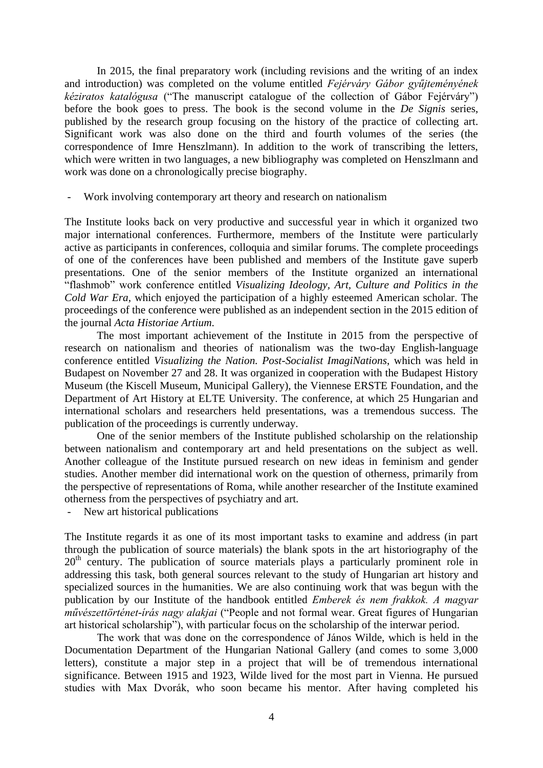In 2015, the final preparatory work (including revisions and the writing of an index and introduction) was completed on the volume entitled *Fejérváry Gábor gyűjteményének kéziratos katalógusa* ("The manuscript catalogue of the collection of Gábor Fejérváry") before the book goes to press. The book is the second volume in the *De Signis* series, published by the research group focusing on the history of the practice of collecting art. Significant work was also done on the third and fourth volumes of the series (the correspondence of Imre Henszlmann). In addition to the work of transcribing the letters, which were written in two languages, a new bibliography was completed on Henszlmann and work was done on a chronologically precise biography.

Work involving contemporary art theory and research on nationalism

The Institute looks back on very productive and successful year in which it organized two major international conferences. Furthermore, members of the Institute were particularly active as participants in conferences, colloquia and similar forums. The complete proceedings of one of the conferences have been published and members of the Institute gave superb presentations. One of the senior members of the Institute organized an international "flashmob" work conference entitled *Visualizing Ideology, Art, Culture and Politics in the Cold War Era*, which enjoyed the participation of a highly esteemed American scholar. The proceedings of the conference were published as an independent section in the 2015 edition of the journal *Acta Historiae Artium*.

The most important achievement of the Institute in 2015 from the perspective of research on nationalism and theories of nationalism was the two-day English-language conference entitled *Visualizing the Nation. Post-Socialist ImagiNations*, which was held in Budapest on November 27 and 28. It was organized in cooperation with the Budapest History Museum (the Kiscell Museum, Municipal Gallery), the Viennese ERSTE Foundation, and the Department of Art History at ELTE University. The conference, at which 25 Hungarian and international scholars and researchers held presentations, was a tremendous success. The publication of the proceedings is currently underway.

One of the senior members of the Institute published scholarship on the relationship between nationalism and contemporary art and held presentations on the subject as well. Another colleague of the Institute pursued research on new ideas in feminism and gender studies. Another member did international work on the question of otherness, primarily from the perspective of representations of Roma, while another researcher of the Institute examined otherness from the perspectives of psychiatry and art.

New art historical publications

The Institute regards it as one of its most important tasks to examine and address (in part through the publication of source materials) the blank spots in the art historiography of the  $20<sup>th</sup>$  century. The publication of source materials plays a particularly prominent role in addressing this task, both general sources relevant to the study of Hungarian art history and specialized sources in the humanities. We are also continuing work that was begun with the publication by our Institute of the handbook entitled *Emberek és nem frakkok. A magyar művészettörténet-írás nagy alakjai* ("People and not formal wear. Great figures of Hungarian art historical scholarship"), with particular focus on the scholarship of the interwar period.

The work that was done on the correspondence of János Wilde, which is held in the Documentation Department of the Hungarian National Gallery (and comes to some 3,000 letters), constitute a major step in a project that will be of tremendous international significance. Between 1915 and 1923, Wilde lived for the most part in Vienna. He pursued studies with Max Dvorák, who soon became his mentor. After having completed his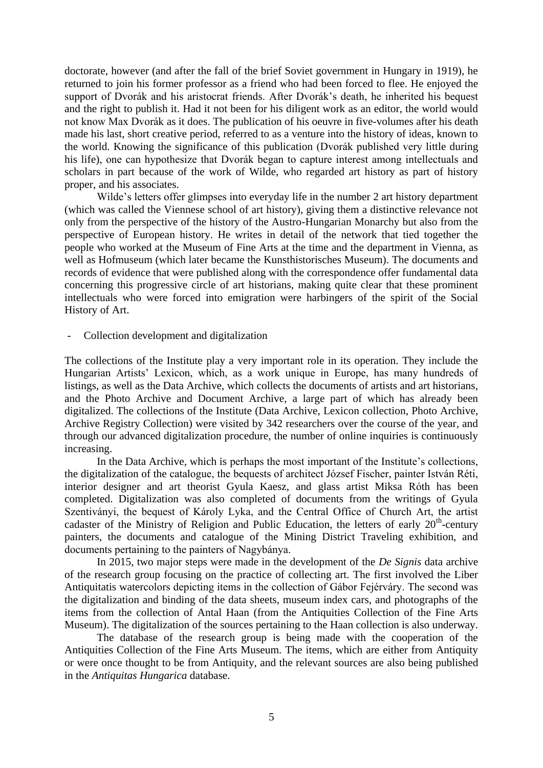doctorate, however (and after the fall of the brief Soviet government in Hungary in 1919), he returned to join his former professor as a friend who had been forced to flee. He enjoyed the support of Dvorák and his aristocrat friends. After Dvorák's death, he inherited his bequest and the right to publish it. Had it not been for his diligent work as an editor, the world would not know Max Dvorák as it does. The publication of his oeuvre in five-volumes after his death made his last, short creative period, referred to as a venture into the history of ideas, known to the world. Knowing the significance of this publication (Dvorák published very little during his life), one can hypothesize that Dvorák began to capture interest among intellectuals and scholars in part because of the work of Wilde, who regarded art history as part of history proper, and his associates.

Wilde's letters offer glimpses into everyday life in the number 2 art history department (which was called the Viennese school of art history), giving them a distinctive relevance not only from the perspective of the history of the Austro-Hungarian Monarchy but also from the perspective of European history. He writes in detail of the network that tied together the people who worked at the Museum of Fine Arts at the time and the department in Vienna, as well as Hofmuseum (which later became the Kunsthistorisches Museum). The documents and records of evidence that were published along with the correspondence offer fundamental data concerning this progressive circle of art historians, making quite clear that these prominent intellectuals who were forced into emigration were harbingers of the spirit of the Social History of Art.

Collection development and digitalization

The collections of the Institute play a very important role in its operation. They include the Hungarian Artists' Lexicon, which, as a work unique in Europe, has many hundreds of listings, as well as the Data Archive, which collects the documents of artists and art historians, and the Photo Archive and Document Archive, a large part of which has already been digitalized. The collections of the Institute (Data Archive, Lexicon collection, Photo Archive, Archive Registry Collection) were visited by 342 researchers over the course of the year, and through our advanced digitalization procedure, the number of online inquiries is continuously increasing.

In the Data Archive, which is perhaps the most important of the Institute's collections, the digitalization of the catalogue, the bequests of architect József Fischer, painter István Réti, interior designer and art theorist Gyula Kaesz, and glass artist Miksa Róth has been completed. Digitalization was also completed of documents from the writings of Gyula Szentiványi, the bequest of Károly Lyka, and the Central Office of Church Art, the artist cadaster of the Ministry of Religion and Public Education, the letters of early  $20<sup>th</sup>$ -century painters, the documents and catalogue of the Mining District Traveling exhibition, and documents pertaining to the painters of Nagybánya.

In 2015, two major steps were made in the development of the *De Signis* data archive of the research group focusing on the practice of collecting art. The first involved the Liber Antiquitatis watercolors depicting items in the collection of Gábor Fejérváry. The second was the digitalization and binding of the data sheets, museum index cars, and photographs of the items from the collection of Antal Haan (from the Antiquities Collection of the Fine Arts Museum). The digitalization of the sources pertaining to the Haan collection is also underway.

The database of the research group is being made with the cooperation of the Antiquities Collection of the Fine Arts Museum. The items, which are either from Antiquity or were once thought to be from Antiquity, and the relevant sources are also being published in the *Antiquitas Hungarica* database.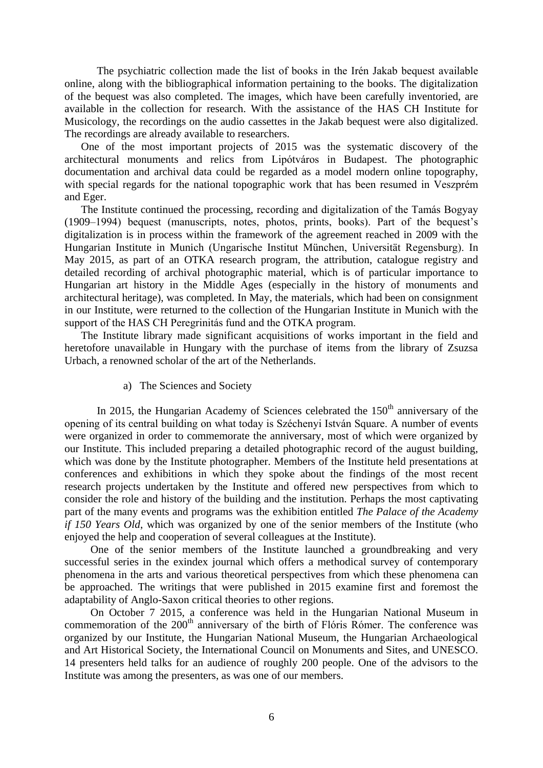The psychiatric collection made the list of books in the Irén Jakab bequest available online, along with the bibliographical information pertaining to the books. The digitalization of the bequest was also completed. The images, which have been carefully inventoried, are available in the collection for research. With the assistance of the HAS CH Institute for Musicology, the recordings on the audio cassettes in the Jakab bequest were also digitalized. The recordings are already available to researchers.

One of the most important projects of 2015 was the systematic discovery of the architectural monuments and relics from Lipótváros in Budapest. The photographic documentation and archival data could be regarded as a model modern online topography, with special regards for the national topographic work that has been resumed in Veszprém and Eger.

The Institute continued the processing, recording and digitalization of the Tamás Bogyay (1909–1994) bequest (manuscripts, notes, photos, prints, books). Part of the bequest's digitalization is in process within the framework of the agreement reached in 2009 with the Hungarian Institute in Munich (Ungarische Institut München, Universität Regensburg). In May 2015, as part of an OTKA research program, the attribution, catalogue registry and detailed recording of archival photographic material, which is of particular importance to Hungarian art history in the Middle Ages (especially in the history of monuments and architectural heritage), was completed. In May, the materials, which had been on consignment in our Institute, were returned to the collection of the Hungarian Institute in Munich with the support of the HAS CH Peregrinitás fund and the OTKA program.

The Institute library made significant acquisitions of works important in the field and heretofore unavailable in Hungary with the purchase of items from the library of Zsuzsa Urbach, a renowned scholar of the art of the Netherlands.

a) The Sciences and Society

In 2015, the Hungarian Academy of Sciences celebrated the  $150<sup>th</sup>$  anniversary of the opening of its central building on what today is Széchenyi István Square. A number of events were organized in order to commemorate the anniversary, most of which were organized by our Institute. This included preparing a detailed photographic record of the august building, which was done by the Institute photographer. Members of the Institute held presentations at conferences and exhibitions in which they spoke about the findings of the most recent research projects undertaken by the Institute and offered new perspectives from which to consider the role and history of the building and the institution. Perhaps the most captivating part of the many events and programs was the exhibition entitled *The Palace of the Academy if 150 Years Old*, which was organized by one of the senior members of the Institute (who enjoyed the help and cooperation of several colleagues at the Institute).

One of the senior members of the Institute launched a groundbreaking and very successful series in the exindex journal which offers a methodical survey of contemporary phenomena in the arts and various theoretical perspectives from which these phenomena can be approached. The writings that were published in 2015 examine first and foremost the adaptability of Anglo-Saxon critical theories to other regions.

On October 7 2015, a conference was held in the Hungarian National Museum in commemoration of the 200<sup>th</sup> anniversary of the birth of Flóris Rómer. The conference was organized by our Institute, the Hungarian National Museum, the Hungarian Archaeological and Art Historical Society, the International Council on Monuments and Sites, and UNESCO. 14 presenters held talks for an audience of roughly 200 people. One of the advisors to the Institute was among the presenters, as was one of our members.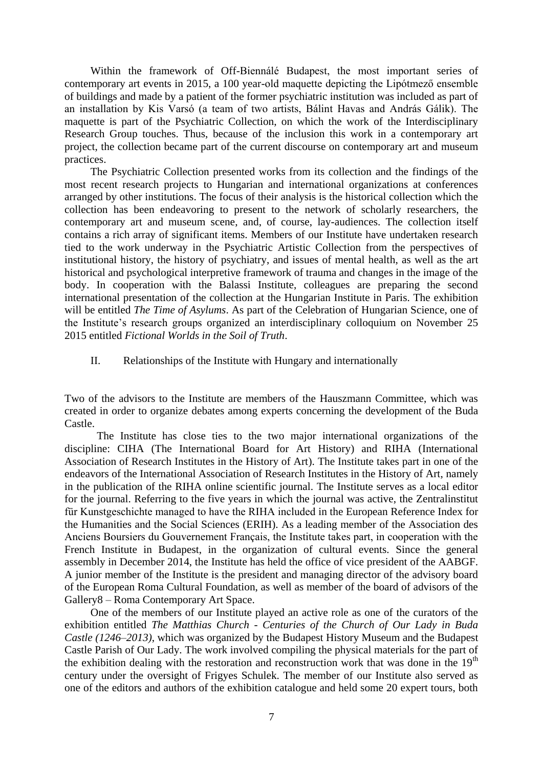Within the framework of Off-Biennálé Budapest, the most important series of contemporary art events in 2015, a 100 year-old maquette depicting the Lipótmező ensemble of buildings and made by a patient of the former psychiatric institution was included as part of an installation by Kis Varsó (a team of two artists, Bálint Havas and András Gálik). The maquette is part of the Psychiatric Collection, on which the work of the Interdisciplinary Research Group touches. Thus, because of the inclusion this work in a contemporary art project, the collection became part of the current discourse on contemporary art and museum practices.

The Psychiatric Collection presented works from its collection and the findings of the most recent research projects to Hungarian and international organizations at conferences arranged by other institutions. The focus of their analysis is the historical collection which the collection has been endeavoring to present to the network of scholarly researchers, the contemporary art and museum scene, and, of course, lay-audiences. The collection itself contains a rich array of significant items. Members of our Institute have undertaken research tied to the work underway in the Psychiatric Artistic Collection from the perspectives of institutional history, the history of psychiatry, and issues of mental health, as well as the art historical and psychological interpretive framework of trauma and changes in the image of the body. In cooperation with the Balassi Institute, colleagues are preparing the second international presentation of the collection at the Hungarian Institute in Paris. The exhibition will be entitled *The Time of Asylums*. As part of the Celebration of Hungarian Science, one of the Institute's research groups organized an interdisciplinary colloquium on November 25 2015 entitled *Fictional Worlds in the Soil of Truth*.

II. Relationships of the Institute with Hungary and internationally

Two of the advisors to the Institute are members of the Hauszmann Committee, which was created in order to organize debates among experts concerning the development of the Buda Castle.

The Institute has close ties to the two major international organizations of the discipline: CIHA (The International Board for Art History) and RIHA (International Association of Research Institutes in the History of Art). The Institute takes part in one of the endeavors of the International Association of Research Institutes in the History of Art, namely in the publication of the RIHA online scientific journal. The Institute serves as a local editor for the journal. Referring to the five years in which the journal was active, the Zentralinstitut für Kunstgeschichte managed to have the RIHA included in the European Reference Index for the Humanities and the Social Sciences (ERIH). As a leading member of the Association des Anciens Boursiers du Gouvernement Français, the Institute takes part, in cooperation with the French Institute in Budapest, in the organization of cultural events. Since the general assembly in December 2014, the Institute has held the office of vice president of the AABGF. A junior member of the Institute is the president and managing director of the advisory board of the European Roma Cultural Foundation, as well as member of the board of advisors of the Gallery8 – Roma Contemporary Art Space.

One of the members of our Institute played an active role as one of the curators of the exhibition entitled *The Matthias Church - Centuries of the Church of Our Lady in Buda Castle (1246–2013)*, which was organized by the Budapest History Museum and the Budapest Castle Parish of Our Lady. The work involved compiling the physical materials for the part of the exhibition dealing with the restoration and reconstruction work that was done in the  $19<sup>th</sup>$ century under the oversight of Frigyes Schulek. The member of our Institute also served as one of the editors and authors of the exhibition catalogue and held some 20 expert tours, both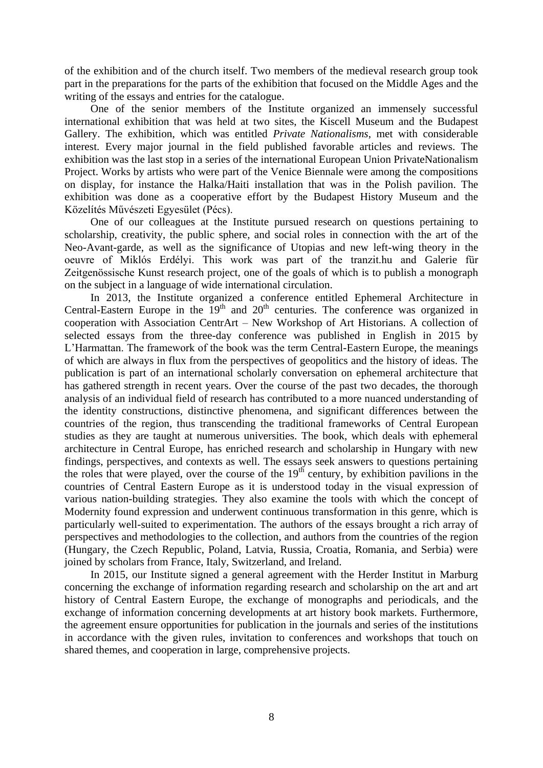of the exhibition and of the church itself. Two members of the medieval research group took part in the preparations for the parts of the exhibition that focused on the Middle Ages and the writing of the essays and entries for the catalogue.

One of the senior members of the Institute organized an immensely successful international exhibition that was held at two sites, the Kiscell Museum and the Budapest Gallery. The exhibition, which was entitled *Private Nationalisms*, met with considerable interest. Every major journal in the field published favorable articles and reviews. The exhibition was the last stop in a series of the international European Union PrivateNationalism Project. Works by artists who were part of the Venice Biennale were among the compositions on display, for instance the Halka/Haiti installation that was in the Polish pavilion. The exhibition was done as a cooperative effort by the Budapest History Museum and the Közelítés Művészeti Egyesület (Pécs).

One of our colleagues at the Institute pursued research on questions pertaining to scholarship, creativity, the public sphere, and social roles in connection with the art of the Neo-Avant-garde, as well as the significance of Utopias and new left-wing theory in the oeuvre of Miklós Erdélyi. This work was part of the tranzit.hu and Galerie für Zeitgenössische Kunst research project, one of the goals of which is to publish a monograph on the subject in a language of wide international circulation.

In 2013, the Institute organized a conference entitled Ephemeral Architecture in Central-Eastern Europe in the  $19<sup>th</sup>$  and  $20<sup>th</sup>$  centuries. The conference was organized in cooperation with Association CentrArt – New Workshop of Art Historians. A collection of selected essays from the three-day conference was published in English in 2015 by L'Harmattan. The framework of the book was the term Central-Eastern Europe, the meanings of which are always in flux from the perspectives of geopolitics and the history of ideas. The publication is part of an international scholarly conversation on ephemeral architecture that has gathered strength in recent years. Over the course of the past two decades, the thorough analysis of an individual field of research has contributed to a more nuanced understanding of the identity constructions, distinctive phenomena, and significant differences between the countries of the region, thus transcending the traditional frameworks of Central European studies as they are taught at numerous universities. The book, which deals with ephemeral architecture in Central Europe, has enriched research and scholarship in Hungary with new findings, perspectives, and contexts as well. The essays seek answers to questions pertaining the roles that were played, over the course of the  $19<sup>th</sup>$  century, by exhibition pavilions in the countries of Central Eastern Europe as it is understood today in the visual expression of various nation-building strategies. They also examine the tools with which the concept of Modernity found expression and underwent continuous transformation in this genre, which is particularly well-suited to experimentation. The authors of the essays brought a rich array of perspectives and methodologies to the collection, and authors from the countries of the region (Hungary, the Czech Republic, Poland, Latvia, Russia, Croatia, Romania, and Serbia) were joined by scholars from France, Italy, Switzerland, and Ireland.

In 2015, our Institute signed a general agreement with the Herder Institut in Marburg concerning the exchange of information regarding research and scholarship on the art and art history of Central Eastern Europe, the exchange of monographs and periodicals, and the exchange of information concerning developments at art history book markets. Furthermore, the agreement ensure opportunities for publication in the journals and series of the institutions in accordance with the given rules, invitation to conferences and workshops that touch on shared themes, and cooperation in large, comprehensive projects.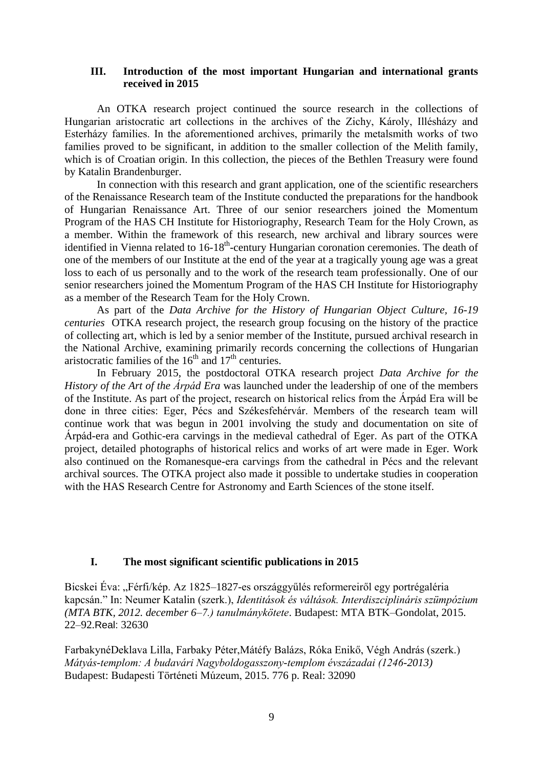## **III. Introduction of the most important Hungarian and international grants received in 2015**

An OTKA research project continued the source research in the collections of Hungarian aristocratic art collections in the archives of the Zichy, Károly, Illésházy and Esterházy families. In the aforementioned archives, primarily the metalsmith works of two families proved to be significant, in addition to the smaller collection of the Melith family, which is of Croatian origin. In this collection, the pieces of the Bethlen Treasury were found by Katalin Brandenburger.

In connection with this research and grant application, one of the scientific researchers of the Renaissance Research team of the Institute conducted the preparations for the handbook of Hungarian Renaissance Art. Three of our senior researchers joined the Momentum Program of the HAS CH Institute for Historiography, Research Team for the Holy Crown, as a member. Within the framework of this research, new archival and library sources were identified in Vienna related to 16-18<sup>th</sup>-century Hungarian coronation ceremonies. The death of one of the members of our Institute at the end of the year at a tragically young age was a great loss to each of us personally and to the work of the research team professionally. One of our senior researchers joined the Momentum Program of the HAS CH Institute for Historiography as a member of the Research Team for the Holy Crown.

As part of the *Data Archive for the History of Hungarian Object Culture, 16-19 centuries* OTKA research project, the research group focusing on the history of the practice of collecting art, which is led by a senior member of the Institute, pursued archival research in the National Archive, examining primarily records concerning the collections of Hungarian aristocratic families of the  $16<sup>th</sup>$  and  $17<sup>th</sup>$  centuries.

In February 2015, the postdoctoral OTKA research project *Data Archive for the History of the Art of the Árpád Era* was launched under the leadership of one of the members of the Institute. As part of the project, research on historical relics from the Árpád Era will be done in three cities: Eger, Pécs and Székesfehérvár. Members of the research team will continue work that was begun in 2001 involving the study and documentation on site of Árpád-era and Gothic-era carvings in the medieval cathedral of Eger. As part of the OTKA project, detailed photographs of historical relics and works of art were made in Eger. Work also continued on the Romanesque-era carvings from the cathedral in Pécs and the relevant archival sources. The OTKA project also made it possible to undertake studies in cooperation with the HAS Research Centre for Astronomy and Earth Sciences of the stone itself.

## **I. The most significant scientific publications in 2015**

Bicskei Éva: "Férfi/kép. Az 1825–1827-es országgyűlés reformereiről egy portrégaléria kapcsán." In: Neumer Katalin (szerk.), *Identitások és váltások. Interdiszciplináris szümpózium (MTA BTK, 2012. december 6–7.) tanulmánykötete*. Budapest: MTA BTK–Gondolat, 2015. 22–92.Real: 32630

FarbakynéDeklava Lilla, Farbaky Péter,Mátéfy Balázs, Róka Enikő, Végh András (szerk.) *Mátyás-templom: A budavári Nagyboldogasszony-templom évszázadai (1246-2013)* Budapest: Budapesti Történeti Múzeum, 2015. 776 p. Real: 32090